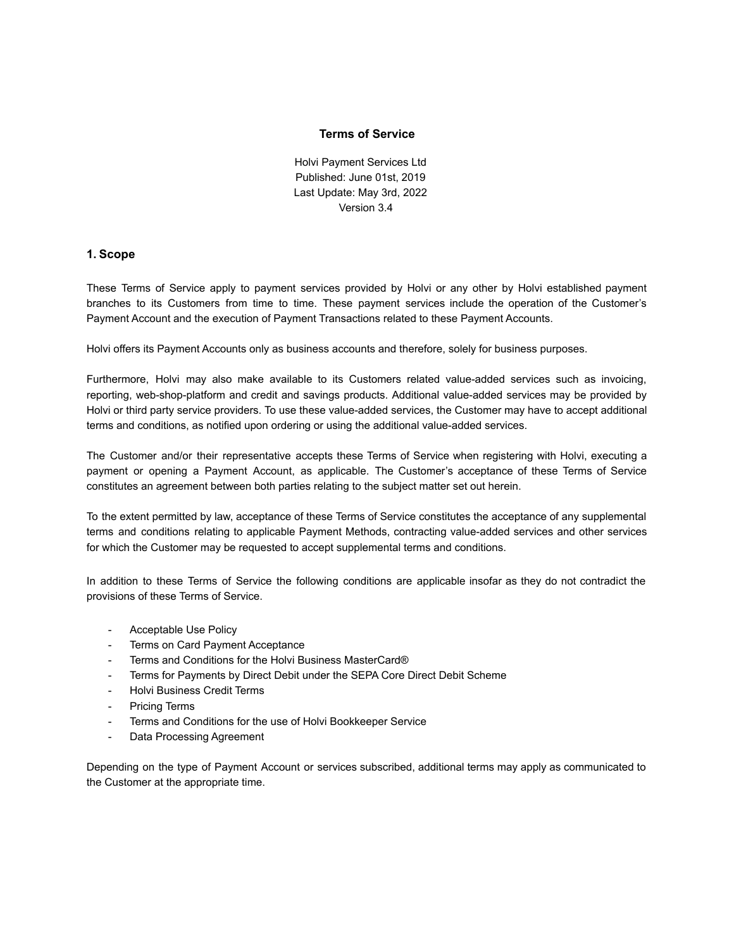### **Terms of Service**

Holvi Payment Services Ltd Published: June 01st, 2019 Last Update: May 3rd, 2022 Version 3.4

#### **1. Scope**

These Terms of Service apply to payment services provided by Holvi or any other by Holvi established payment branches to its Customers from time to time. These payment services include the operation of the Customer's Payment Account and the execution of Payment Transactions related to these Payment Accounts.

Holvi offers its Payment Accounts only as business accounts and therefore, solely for business purposes.

Furthermore, Holvi may also make available to its Customers related value-added services such as invoicing, reporting, web-shop-platform and credit and savings products. Additional value-added services may be provided by Holvi or third party service providers. To use these value-added services, the Customer may have to accept additional terms and conditions, as notified upon ordering or using the additional value-added services.

The Customer and/or their representative accepts these Terms of Service when registering with Holvi, executing a payment or opening a Payment Account, as applicable. The Customer's acceptance of these Terms of Service constitutes an agreement between both parties relating to the subject matter set out herein.

To the extent permitted by law, acceptance of these Terms of Service constitutes the acceptance of any supplemental terms and conditions relating to applicable Payment Methods, contracting value-added services and other services for which the Customer may be requested to accept supplemental terms and conditions.

In addition to these Terms of Service the following conditions are applicable insofar as they do not contradict the provisions of these Terms of Service.

- Acceptable Use Policy
- Terms on Card Payment Acceptance
- Terms and Conditions for the Holvi Business MasterCard®
- Terms for Payments by Direct Debit under the SEPA Core Direct Debit Scheme
- Holvi Business Credit Terms
- Pricing Terms
- Terms and Conditions for the use of Holvi Bookkeeper Service
- Data Processing Agreement

Depending on the type of Payment Account or services subscribed, additional terms may apply as communicated to the Customer at the appropriate time.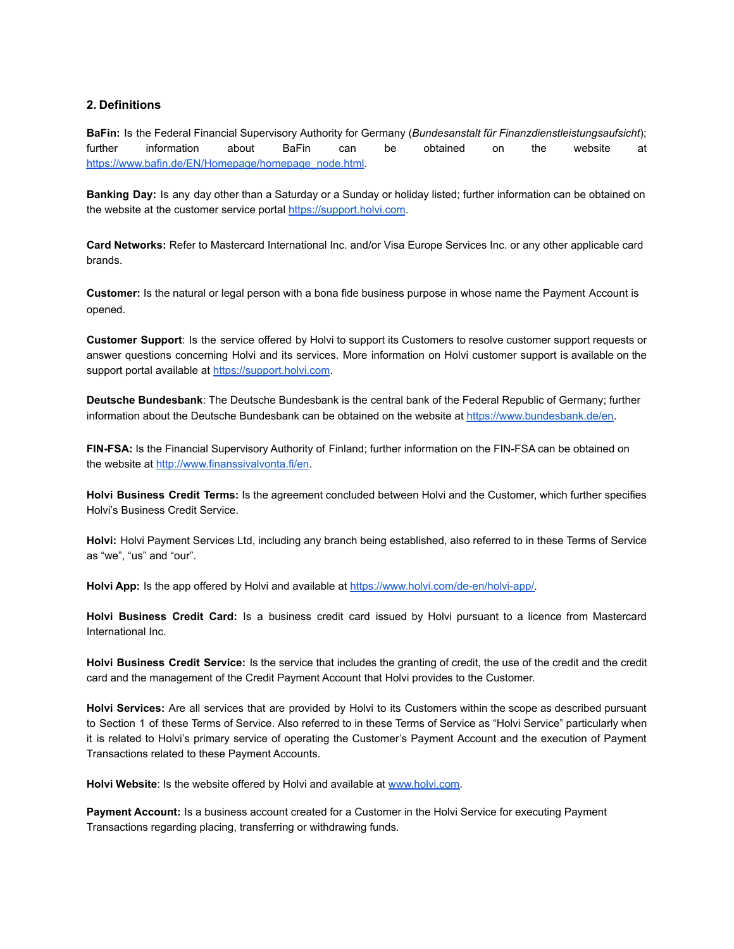### **2. Definitions**

**BaFin:** Is the Federal Financial Supervisory Authority for Germany (*Bundesanstalt für Finanzdienstleistungsaufsicht*); further information about BaFin can be obtained on the website at [https://www.bafin.de/EN/Homepage/homepage\\_node.html.](https://www.bafin.de/EN/Homepage/homepage_node.html)

**Banking Day:** Is any day other than a Saturday or a Sunday or holiday listed; further information can be obtained on the website at the customer service portal [https://support.holvi.com.](http://support.holvi.com/)

**Card Networks:** Refer to Mastercard International Inc. and/or Visa Europe Services Inc. or any other applicable card brands.

**Customer:** Is the natural or legal person with a bona fide business purpose in whose name the Payment Account is opened.

**Customer Support**: Is the service offered by Holvi to support its Customers to resolve customer support requests or answer questions concerning Holvi and its services. More information on Holvi customer support is available on the support portal available at [https://support.holvi.com](https://support.holvi.com/).

**Deutsche Bundesbank**: The Deutsche Bundesbank is the central bank of the Federal Republic of Germany; further information about the Deutsche Bundesbank can be obtained on the website at <https://www.bundesbank.de/en>.

**FIN-FSA:** Is the Financial Supervisory Authority of Finland; further information on the FIN-FSA can be obtained on the website at [http://www.finanssivalvonta.fi/en.](http://www.finanssivalvonta.fi/en)

**Holvi Business Credit Terms:** Is the agreement concluded between Holvi and the Customer, which further specifies Holvi's Business Credit Service.

**Holvi:** Holvi Payment Services Ltd, including any branch being established, also referred to in these Terms of Service as "we", "us" and "our".

**Holvi App:** Is the app offered by Holvi and available at [https://www.holvi.com/de-en/holvi-app/.](https://www.holvi.com/de-en/holvi-app/)

**Holvi Business Credit Card:** Is a business credit card issued by Holvi pursuant to a licence from Mastercard International Inc.

**Holvi Business Credit Service:** Is the service that includes the granting of credit, the use of the credit and the credit card and the management of the Credit Payment Account that Holvi provides to the Customer.

**Holvi Services:** Are all services that are provided by Holvi to its Customers within the scope as described pursuant to Section 1 of these Terms of Service. Also referred to in these Terms of Service as "Holvi Service" particularly when it is related to Holvi's primary service of operating the Customer's Payment Account and the execution of Payment Transactions related to these Payment Accounts.

Holvi Website: Is the website offered by Holvi and available at [www.holvi.com.](http://www.holvi.com/)

**Payment Account:** Is a business account created for a Customer in the Holvi Service for executing Payment Transactions regarding placing, transferring or withdrawing funds.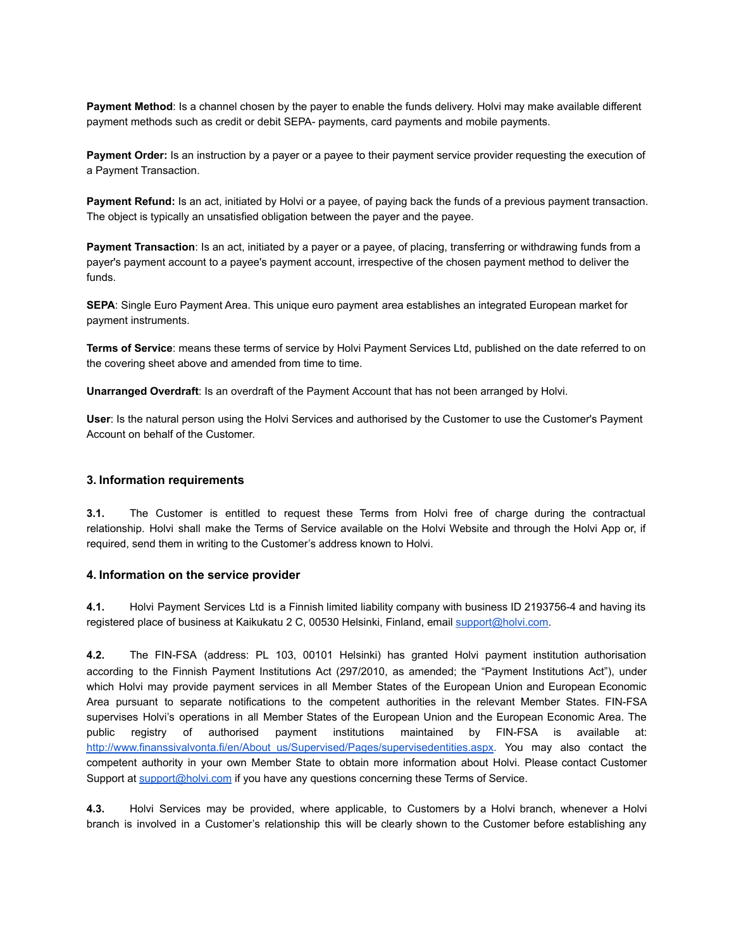**Payment Method**: Is a channel chosen by the payer to enable the funds delivery. Holvi may make available different payment methods such as credit or debit SEPA- payments, card payments and mobile payments.

**Payment Order:** Is an instruction by a payer or a payee to their payment service provider requesting the execution of a Payment Transaction.

**Payment Refund:** Is an act, initiated by Holvi or a payee, of paying back the funds of a previous payment transaction. The object is typically an unsatisfied obligation between the payer and the payee.

**Payment Transaction**: Is an act, initiated by a payer or a payee, of placing, transferring or withdrawing funds from a payer's payment account to a payee's payment account, irrespective of the chosen payment method to deliver the funds.

**SEPA**: Single Euro Payment Area. This unique euro payment area establishes an integrated European market for payment instruments.

**Terms of Service**: means these terms of service by Holvi Payment Services Ltd, published on the date referred to on the covering sheet above and amended from time to time.

**Unarranged Overdraft**: Is an overdraft of the Payment Account that has not been arranged by Holvi.

**User**: Is the natural person using the Holvi Services and authorised by the Customer to use the Customer's Payment Account on behalf of the Customer.

#### **3. Information requirements**

**3.1.** The Customer is entitled to request these Terms from Holvi free of charge during the contractual relationship. Holvi shall make the Terms of Service available on the Holvi Website and through the Holvi App or, if required, send them in writing to the Customer's address known to Holvi.

#### **4. Information on the service provider**

**4.1.** Holvi Payment Services Ltd is a Finnish limited liability company with business ID 2193756-4 and having its registered place of business at Kaikukatu 2 C, 00530 Helsinki, Finland, email support@holvi.com.

**4.2.** The FIN-FSA (address: PL 103, 00101 Helsinki) has granted Holvi payment institution authorisation according to the Finnish Payment Institutions Act (297/2010, as amended; the "Payment Institutions Act"), under which Holvi may provide payment services in all Member States of the European Union and European Economic Area pursuant to separate notifications to the competent authorities in the relevant Member States. FIN-FSA supervises Holvi's operations in all Member States of the European Union and the European Economic Area. The public registry of authorised payment institutions maintained by FIN-FSA is available at: [http://www.finanssivalvonta.fi/en/About\\_us/Supervised/Pages/supervisedentities.aspx.](http://www.finanssivalvonta.fi/en/About_us/Supervised/Pages/supervisedentities.aspx) You may also contact the competent authority in your own Member State to obtain more information about Holvi. Please contact Customer Support at support@holvi.com if you have any questions concerning these Terms of Service.

**4.3.** Holvi Services may be provided, where applicable, to Customers by a Holvi branch, whenever a Holvi branch is involved in a Customer's relationship this will be clearly shown to the Customer before establishing any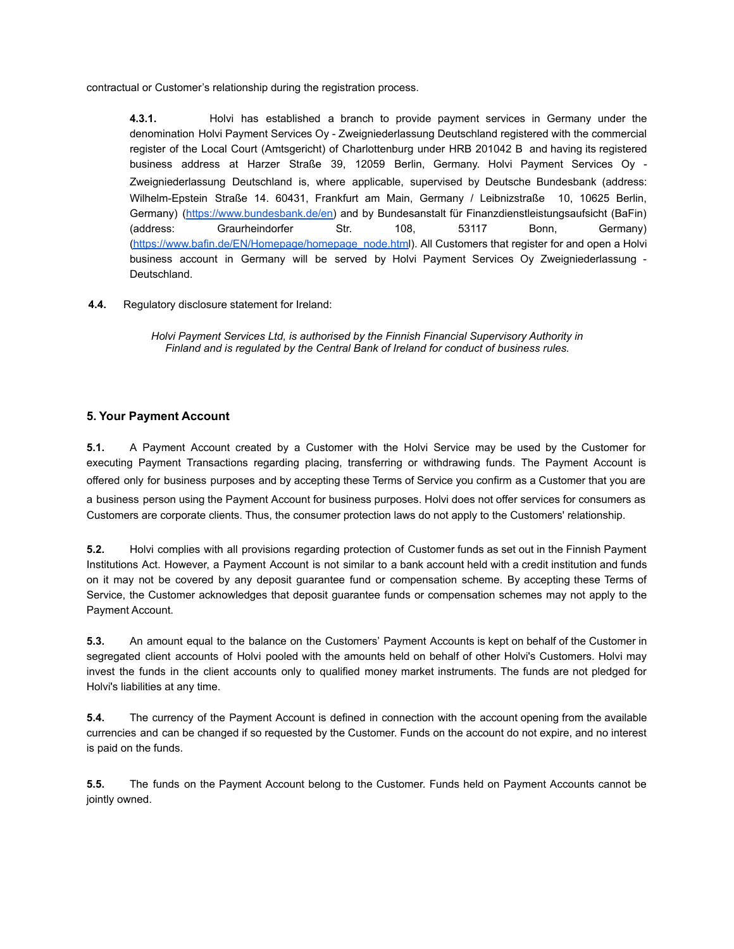contractual or Customer's relationship during the registration process.

**4.3.1.** Holvi has established a branch to provide payment services in Germany under the denomination Holvi Payment Services Oy - Zweigniederlassung Deutschland registered with the commercial register of the Local Court (Amtsgericht) of Charlottenburg under HRB 201042 B and having its registered business address at Harzer Straße 39, 12059 Berlin, Germany. Holvi Payment Services Oy - Zweigniederlassung Deutschland is, where applicable, supervised by Deutsche Bundesbank (address: Wilhelm-Epstein Straße 14. 60431, Frankfurt am Main, Germany / Leibnizstraße 10, 10625 Berlin, Germany) [\(https://www.bundesbank.de/en\)](https://www.bundesbank.de/en) and by Bundesanstalt für Finanzdienstleistungsaufsicht (BaFin) (address: Graurheindorfer Str. 108, 53117 Bonn, Germany) ([https://www.bafin.de/EN/Homepage/homepage\\_node.html\)](https://www.bafin.de/EN/Homepage/homepage_node.html). All Customers that register for and open a Holvi business account in Germany will be served by Holvi Payment Services Oy Zweigniederlassung - Deutschland.

**4.4.** Regulatory disclosure statement for Ireland:

*Holvi Payment Services Ltd, is authorised by the Finnish Financial Supervisory Authority in Finland and is regulated by the Central Bank of Ireland for conduct of business rules.*

### **5. Your Payment Account**

**5.1.** A Payment Account created by a Customer with the Holvi Service may be used by the Customer for executing Payment Transactions regarding placing, transferring or withdrawing funds. The Payment Account is offered only for business purposes and by accepting these Terms of Service you confirm as a Customer that you are a business person using the Payment Account for business purposes. Holvi does not offer services for consumers as Customers are corporate clients. Thus, the consumer protection laws do not apply to the Customers' relationship.

**5.2.** Holvi complies with all provisions regarding protection of Customer funds as set out in the Finnish Payment Institutions Act. However, a Payment Account is not similar to a bank account held with a credit institution and funds on it may not be covered by any deposit guarantee fund or compensation scheme. By accepting these Terms of Service, the Customer acknowledges that deposit guarantee funds or compensation schemes may not apply to the Payment Account.

**5.3.** An amount equal to the balance on the Customers' Payment Accounts is kept on behalf of the Customer in segregated client accounts of Holvi pooled with the amounts held on behalf of other Holvi's Customers. Holvi may invest the funds in the client accounts only to qualified money market instruments. The funds are not pledged for Holvi's liabilities at any time.

**5.4.** The currency of the Payment Account is defined in connection with the account opening from the available currencies and can be changed if so requested by the Customer. Funds on the account do not expire, and no interest is paid on the funds.

**5.5.** The funds on the Payment Account belong to the Customer. Funds held on Payment Accounts cannot be jointly owned.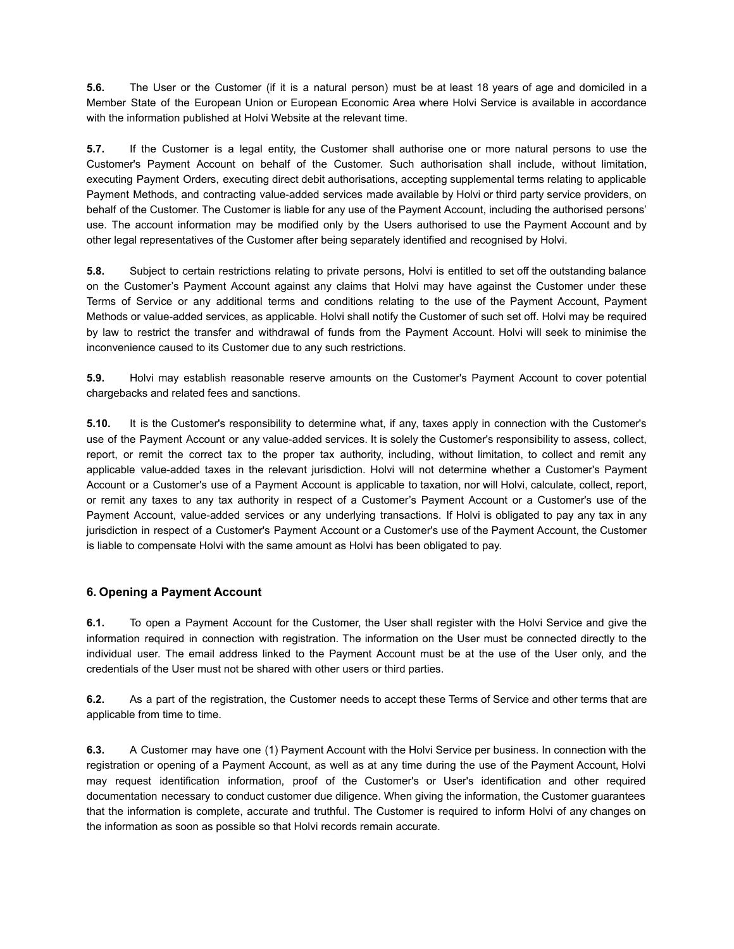**5.6.** The User or the Customer (if it is a natural person) must be at least 18 years of age and domiciled in a Member State of the European Union or European Economic Area where Holvi Service is available in accordance with the information published at Holvi Website at the relevant time.

**5.7.** If the Customer is a legal entity, the Customer shall authorise one or more natural persons to use the Customer's Payment Account on behalf of the Customer. Such authorisation shall include, without limitation, executing Payment Orders, executing direct debit authorisations, accepting supplemental terms relating to applicable Payment Methods, and contracting value-added services made available by Holvi or third party service providers, on behalf of the Customer. The Customer is liable for any use of the Payment Account, including the authorised persons' use. The account information may be modified only by the Users authorised to use the Payment Account and by other legal representatives of the Customer after being separately identified and recognised by Holvi.

**5.8.** Subject to certain restrictions relating to private persons, Holvi is entitled to set off the outstanding balance on the Customer's Payment Account against any claims that Holvi may have against the Customer under these Terms of Service or any additional terms and conditions relating to the use of the Payment Account, Payment Methods or value-added services, as applicable. Holvi shall notify the Customer of such set off. Holvi may be required by law to restrict the transfer and withdrawal of funds from the Payment Account. Holvi will seek to minimise the inconvenience caused to its Customer due to any such restrictions.

**5.9.** Holvi may establish reasonable reserve amounts on the Customer's Payment Account to cover potential chargebacks and related fees and sanctions.

**5.10.** It is the Customer's responsibility to determine what, if any, taxes apply in connection with the Customer's use of the Payment Account or any value-added services. It is solely the Customer's responsibility to assess, collect, report, or remit the correct tax to the proper tax authority, including, without limitation, to collect and remit any applicable value-added taxes in the relevant jurisdiction. Holvi will not determine whether a Customer's Payment Account or a Customer's use of a Payment Account is applicable to taxation, nor will Holvi, calculate, collect, report, or remit any taxes to any tax authority in respect of a Customer's Payment Account or a Customer's use of the Payment Account, value-added services or any underlying transactions. If Holvi is obligated to pay any tax in any jurisdiction in respect of a Customer's Payment Account or a Customer's use of the Payment Account, the Customer is liable to compensate Holvi with the same amount as Holvi has been obligated to pay.

# **6. Opening a Payment Account**

**6.1.** To open a Payment Account for the Customer, the User shall register with the Holvi Service and give the information required in connection with registration. The information on the User must be connected directly to the individual user. The email address linked to the Payment Account must be at the use of the User only, and the credentials of the User must not be shared with other users or third parties.

**6.2.** As a part of the registration, the Customer needs to accept these Terms of Service and other terms that are applicable from time to time.

**6.3.** A Customer may have one (1) Payment Account with the Holvi Service per business. In connection with the registration or opening of a Payment Account, as well as at any time during the use of the Payment Account, Holvi may request identification information, proof of the Customer's or User's identification and other required documentation necessary to conduct customer due diligence. When giving the information, the Customer guarantees that the information is complete, accurate and truthful. The Customer is required to inform Holvi of any changes on the information as soon as possible so that Holvi records remain accurate.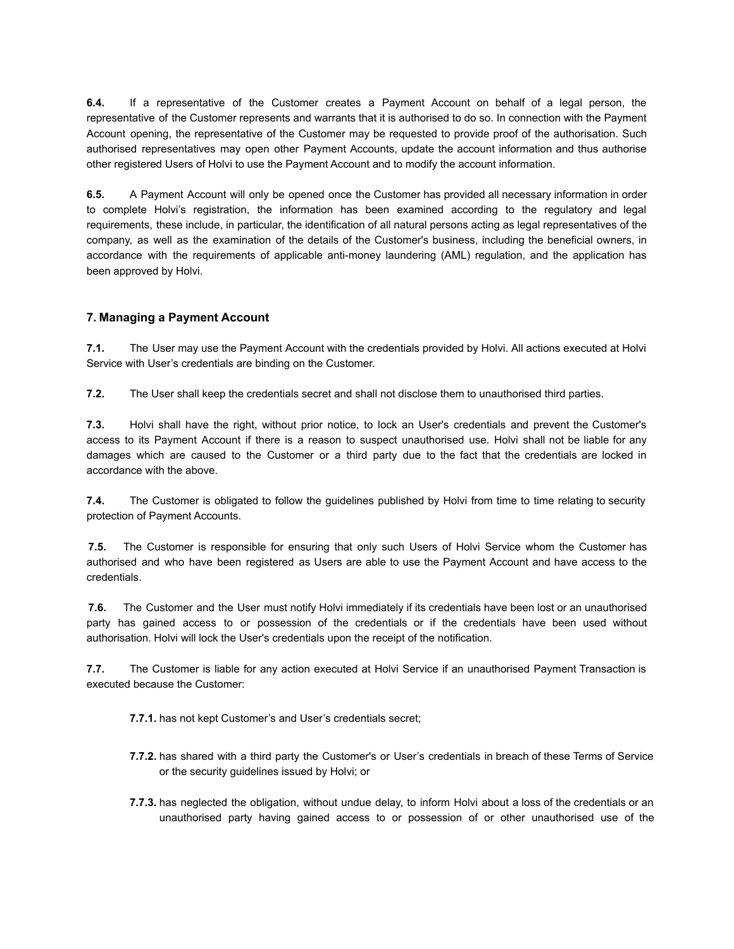**6.4.** If a representative of the Customer creates a Payment Account on behalf of a legal person, the representative of the Customer represents and warrants that it is authorised to do so. In connection with the Payment Account opening, the representative of the Customer may be requested to provide proof of the authorisation. Such authorised representatives may open other Payment Accounts, update the account information and thus authorise other registered Users of Holvi to use the Payment Account and to modify the account information.

**6.5.** A Payment Account will only be opened once the Customer has provided all necessary information in order to complete Holvi's registration, the information has been examined according to the regulatory and legal requirements, these include, in particular, the identification of all natural persons acting as legal representatives of the company, as well as the examination of the details of the Customer's business, including the beneficial owners, in accordance with the requirements of applicable anti-money laundering (AML) regulation, and the application has been approved by Holvi.

# **7. Managing a Payment Account**

**7.1.** The User may use the Payment Account with the credentials provided by Holvi. All actions executed at Holvi Service with User's credentials are binding on the Customer.

**7.2.** The User shall keep the credentials secret and shall not disclose them to unauthorised third parties.

**7.3.** Holvi shall have the right, without prior notice, to lock an User's credentials and prevent the Customer's access to its Payment Account if there is a reason to suspect unauthorised use. Holvi shall not be liable for any damages which are caused to the Customer or a third party due to the fact that the credentials are locked in accordance with the above.

**7.4.** The Customer is obligated to follow the guidelines published by Holvi from time to time relating to security protection of Payment Accounts.

**7.5.** The Customer is responsible for ensuring that only such Users of Holvi Service whom the Customer has authorised and who have been registered as Users are able to use the Payment Account and have access to the credentials.

**7.6.** The Customer and the User must notify Holvi immediately if its credentials have been lost or an unauthorised party has gained access to or possession of the credentials or if the credentials have been used without authorisation. Holvi will lock the User's credentials upon the receipt of the notification.

**7.7.** The Customer is liable for any action executed at Holvi Service if an unauthorised Payment Transaction is executed because the Customer:

**7.7.1.** has not kept Customer's and User's credentials secret;

- **7.7.2.** has shared with a third party the Customer's or User's credentials in breach of these Terms of Service or the security guidelines issued by Holvi; or
- **7.7.3.** has neglected the obligation, without undue delay, to inform Holvi about a loss of the credentials or an unauthorised party having gained access to or possession of or other unauthorised use of the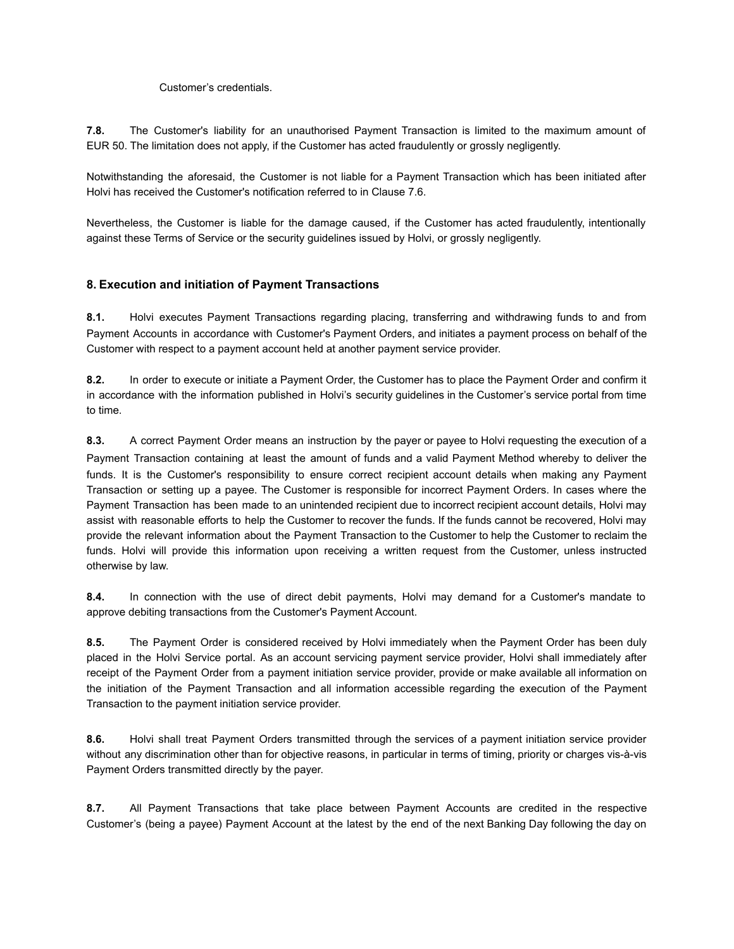#### Customer's credentials.

**7.8.** The Customer's liability for an unauthorised Payment Transaction is limited to the maximum amount of EUR 50. The limitation does not apply, if the Customer has acted fraudulently or grossly negligently.

Notwithstanding the aforesaid, the Customer is not liable for a Payment Transaction which has been initiated after Holvi has received the Customer's notification referred to in Clause 7.6.

Nevertheless, the Customer is liable for the damage caused, if the Customer has acted fraudulently, intentionally against these Terms of Service or the security guidelines issued by Holvi, or grossly negligently.

### **8. Execution and initiation of Payment Transactions**

**8.1.** Holvi executes Payment Transactions regarding placing, transferring and withdrawing funds to and from Payment Accounts in accordance with Customer's Payment Orders, and initiates a payment process on behalf of the Customer with respect to a payment account held at another payment service provider.

**8.2.** In order to execute or initiate a Payment Order, the Customer has to place the Payment Order and confirm it in accordance with the information published in Holvi's security guidelines in the Customer's service portal from time to time.

**8.3.** A correct Payment Order means an instruction by the payer or payee to Holvi requesting the execution of a Payment Transaction containing at least the amount of funds and a valid Payment Method whereby to deliver the funds. It is the Customer's responsibility to ensure correct recipient account details when making any Payment Transaction or setting up a payee. The Customer is responsible for incorrect Payment Orders. In cases where the Payment Transaction has been made to an unintended recipient due to incorrect recipient account details, Holvi may assist with reasonable efforts to help the Customer to recover the funds. If the funds cannot be recovered, Holvi may provide the relevant information about the Payment Transaction to the Customer to help the Customer to reclaim the funds. Holvi will provide this information upon receiving a written request from the Customer, unless instructed otherwise by law.

**8.4.** In connection with the use of direct debit payments, Holvi may demand for a Customer's mandate to approve debiting transactions from the Customer's Payment Account.

**8.5.** The Payment Order is considered received by Holvi immediately when the Payment Order has been duly placed in the Holvi Service portal. As an account servicing payment service provider, Holvi shall immediately after receipt of the Payment Order from a payment initiation service provider, provide or make available all information on the initiation of the Payment Transaction and all information accessible regarding the execution of the Payment Transaction to the payment initiation service provider.

**8.6.** Holvi shall treat Payment Orders transmitted through the services of a payment initiation service provider without any discrimination other than for objective reasons, in particular in terms of timing, priority or charges vis-à-vis Payment Orders transmitted directly by the payer.

**8.7.** All Payment Transactions that take place between Payment Accounts are credited in the respective Customer's (being a payee) Payment Account at the latest by the end of the next Banking Day following the day on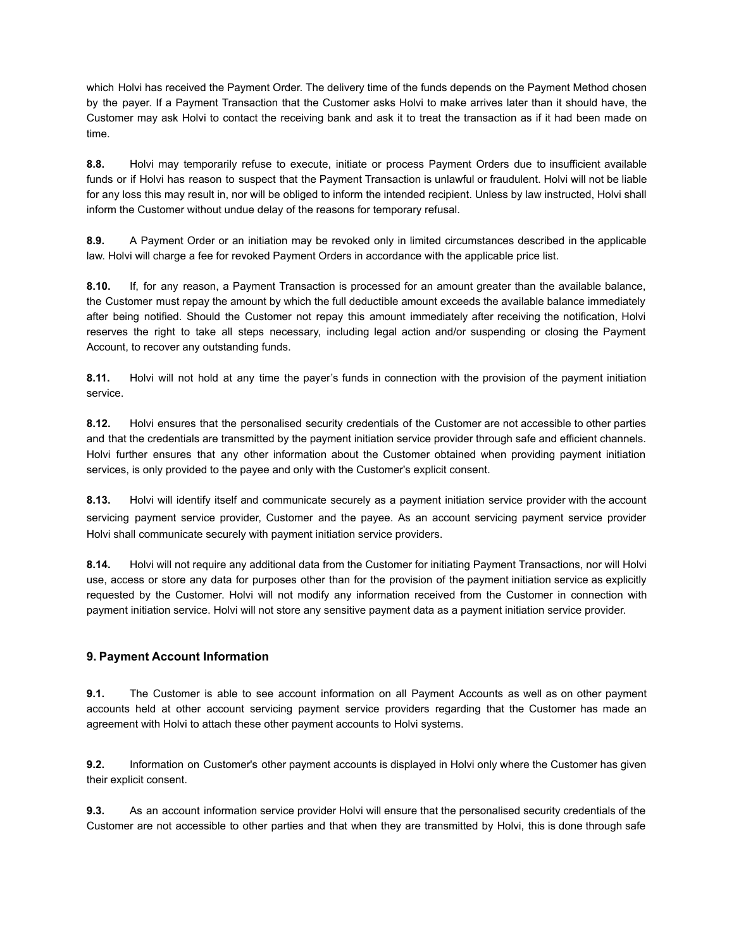which Holvi has received the Payment Order. The delivery time of the funds depends on the Payment Method chosen by the payer. If a Payment Transaction that the Customer asks Holvi to make arrives later than it should have, the Customer may ask Holvi to contact the receiving bank and ask it to treat the transaction as if it had been made on time.

**8.8.** Holvi may temporarily refuse to execute, initiate or process Payment Orders due to insufficient available funds or if Holvi has reason to suspect that the Payment Transaction is unlawful or fraudulent. Holvi will not be liable for any loss this may result in, nor will be obliged to inform the intended recipient. Unless by law instructed, Holvi shall inform the Customer without undue delay of the reasons for temporary refusal.

**8.9.** A Payment Order or an initiation may be revoked only in limited circumstances described in the applicable law. Holvi will charge a fee for revoked Payment Orders in accordance with the applicable price list.

**8.10.** If, for any reason, a Payment Transaction is processed for an amount greater than the available balance, the Customer must repay the amount by which the full deductible amount exceeds the available balance immediately after being notified. Should the Customer not repay this amount immediately after receiving the notification, Holvi reserves the right to take all steps necessary, including legal action and/or suspending or closing the Payment Account, to recover any outstanding funds.

**8.11.** Holvi will not hold at any time the payer's funds in connection with the provision of the payment initiation service.

**8.12.** Holvi ensures that the personalised security credentials of the Customer are not accessible to other parties and that the credentials are transmitted by the payment initiation service provider through safe and efficient channels. Holvi further ensures that any other information about the Customer obtained when providing payment initiation services, is only provided to the payee and only with the Customer's explicit consent.

**8.13.** Holvi will identify itself and communicate securely as a payment initiation service provider with the account servicing payment service provider, Customer and the payee. As an account servicing payment service provider Holvi shall communicate securely with payment initiation service providers.

**8.14.** Holvi will not require any additional data from the Customer for initiating Payment Transactions, nor will Holvi use, access or store any data for purposes other than for the provision of the payment initiation service as explicitly requested by the Customer. Holvi will not modify any information received from the Customer in connection with payment initiation service. Holvi will not store any sensitive payment data as a payment initiation service provider.

# **9. Payment Account Information**

**9.1.** The Customer is able to see account information on all Payment Accounts as well as on other payment accounts held at other account servicing payment service providers regarding that the Customer has made an agreement with Holvi to attach these other payment accounts to Holvi systems.

**9.2.** Information on Customer's other payment accounts is displayed in Holvi only where the Customer has given their explicit consent.

**9.3.** As an account information service provider Holvi will ensure that the personalised security credentials of the Customer are not accessible to other parties and that when they are transmitted by Holvi, this is done through safe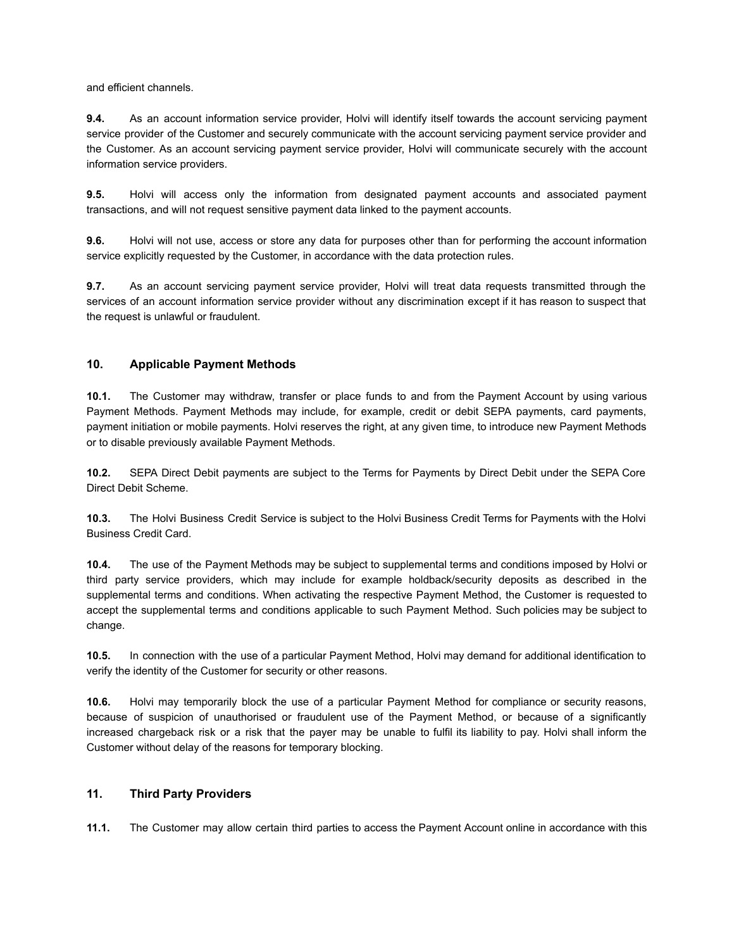and efficient channels.

**9.4.** As an account information service provider, Holvi will identify itself towards the account servicing payment service provider of the Customer and securely communicate with the account servicing payment service provider and the Customer. As an account servicing payment service provider, Holvi will communicate securely with the account information service providers.

**9.5.** Holvi will access only the information from designated payment accounts and associated payment transactions, and will not request sensitive payment data linked to the payment accounts.

**9.6.** Holvi will not use, access or store any data for purposes other than for performing the account information service explicitly requested by the Customer, in accordance with the data protection rules.

**9.7.** As an account servicing payment service provider, Holvi will treat data requests transmitted through the services of an account information service provider without any discrimination except if it has reason to suspect that the request is unlawful or fraudulent.

### **10. Applicable Payment Methods**

**10.1.** The Customer may withdraw, transfer or place funds to and from the Payment Account by using various Payment Methods. Payment Methods may include, for example, credit or debit SEPA payments, card payments, payment initiation or mobile payments. Holvi reserves the right, at any given time, to introduce new Payment Methods or to disable previously available Payment Methods.

**10.2.** SEPA Direct Debit payments are subject to the Terms for Payments by Direct Debit under the SEPA Core Direct Debit Scheme.

**10.3.** The Holvi Business Credit Service is subject to the Holvi Business Credit Terms for Payments with the Holvi Business Credit Card.

**10.4.** The use of the Payment Methods may be subject to supplemental terms and conditions imposed by Holvi or third party service providers, which may include for example holdback/security deposits as described in the supplemental terms and conditions. When activating the respective Payment Method, the Customer is requested to accept the supplemental terms and conditions applicable to such Payment Method. Such policies may be subject to change.

**10.5.** In connection with the use of a particular Payment Method, Holvi may demand for additional identification to verify the identity of the Customer for security or other reasons.

**10.6.** Holvi may temporarily block the use of a particular Payment Method for compliance or security reasons, because of suspicion of unauthorised or fraudulent use of the Payment Method, or because of a significantly increased chargeback risk or a risk that the payer may be unable to fulfil its liability to pay. Holvi shall inform the Customer without delay of the reasons for temporary blocking.

### **11. Third Party Providers**

**11.1.** The Customer may allow certain third parties to access the Payment Account online in accordance with this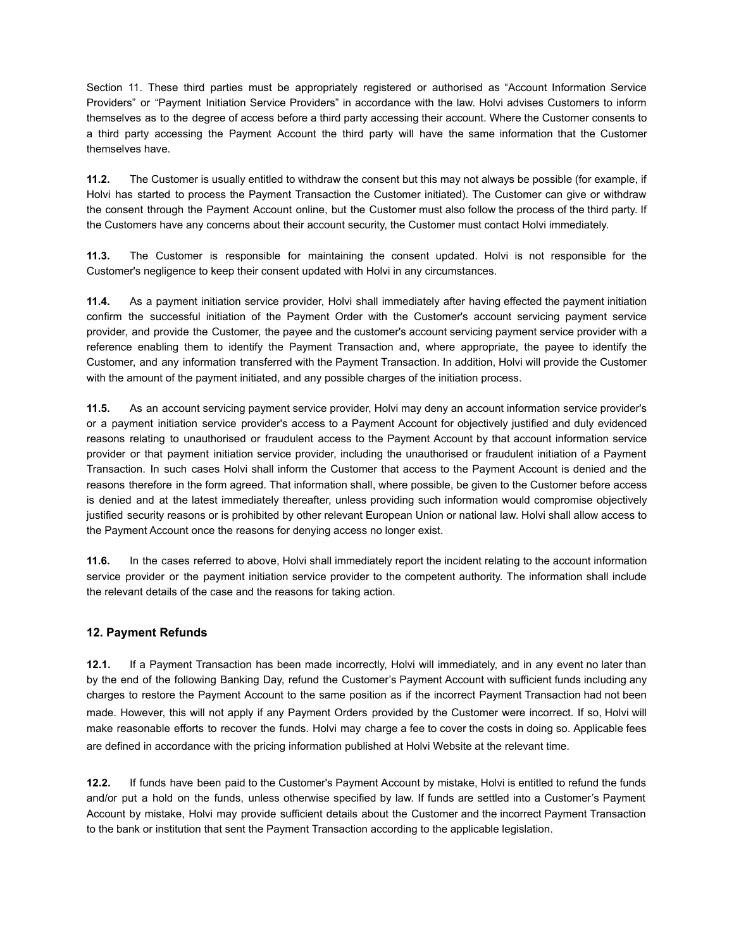Section 11. These third parties must be appropriately registered or authorised as "Account Information Service Providers" or "Payment Initiation Service Providers" in accordance with the law. Holvi advises Customers to inform themselves as to the degree of access before a third party accessing their account. Where the Customer consents to a third party accessing the Payment Account the third party will have the same information that the Customer themselves have.

**11.2.** The Customer is usually entitled to withdraw the consent but this may not always be possible (for example, if Holvi has started to process the Payment Transaction the Customer initiated). The Customer can give or withdraw the consent through the Payment Account online, but the Customer must also follow the process of the third party. If the Customers have any concerns about their account security, the Customer must contact Holvi immediately.

**11.3.** The Customer is responsible for maintaining the consent updated. Holvi is not responsible for the Customer's negligence to keep their consent updated with Holvi in any circumstances.

**11.4.** As a payment initiation service provider, Holvi shall immediately after having effected the payment initiation confirm the successful initiation of the Payment Order with the Customer's account servicing payment service provider, and provide the Customer, the payee and the customer's account servicing payment service provider with a reference enabling them to identify the Payment Transaction and, where appropriate, the payee to identify the Customer, and any information transferred with the Payment Transaction. In addition, Holvi will provide the Customer with the amount of the payment initiated, and any possible charges of the initiation process.

**11.5.** As an account servicing payment service provider, Holvi may deny an account information service provider's or a payment initiation service provider's access to a Payment Account for objectively justified and duly evidenced reasons relating to unauthorised or fraudulent access to the Payment Account by that account information service provider or that payment initiation service provider, including the unauthorised or fraudulent initiation of a Payment Transaction. In such cases Holvi shall inform the Customer that access to the Payment Account is denied and the reasons therefore in the form agreed. That information shall, where possible, be given to the Customer before access is denied and at the latest immediately thereafter, unless providing such information would compromise objectively justified security reasons or is prohibited by other relevant European Union or national law. Holvi shall allow access to the Payment Account once the reasons for denying access no longer exist.

**11.6.** In the cases referred to above, Holvi shall immediately report the incident relating to the account information service provider or the payment initiation service provider to the competent authority. The information shall include the relevant details of the case and the reasons for taking action.

# **12. Payment Refunds**

**12.1.** If a Payment Transaction has been made incorrectly, Holvi will immediately, and in any event no later than by the end of the following Banking Day, refund the Customer's Payment Account with sufficient funds including any charges to restore the Payment Account to the same position as if the incorrect Payment Transaction had not been made. However, this will not apply if any Payment Orders provided by the Customer were incorrect. If so, Holvi will make reasonable efforts to recover the funds. Holvi may charge a fee to cover the costs in doing so. Applicable fees are defined in accordance with the pricing information published at Holvi Website at the relevant time.

**12.2.** If funds have been paid to the Customer's Payment Account by mistake, Holvi is entitled to refund the funds and/or put a hold on the funds, unless otherwise specified by law. If funds are settled into a Customer's Payment Account by mistake, Holvi may provide sufficient details about the Customer and the incorrect Payment Transaction to the bank or institution that sent the Payment Transaction according to the applicable legislation.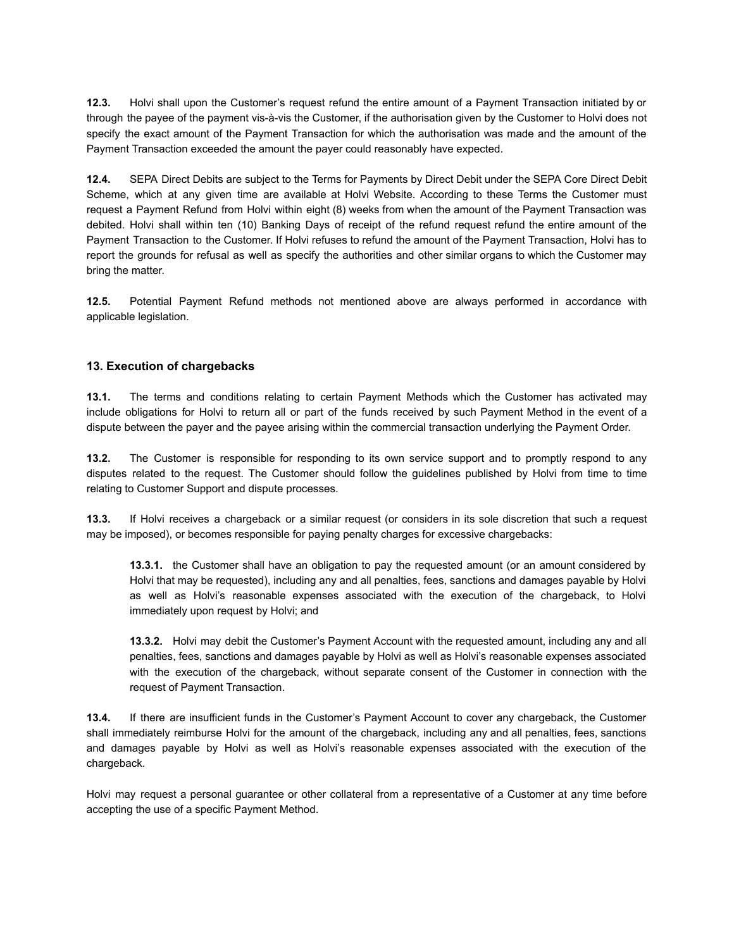**12.3.** Holvi shall upon the Customer's request refund the entire amount of a Payment Transaction initiated by or through the payee of the payment vis-à-vis the Customer, if the authorisation given by the Customer to Holvi does not specify the exact amount of the Payment Transaction for which the authorisation was made and the amount of the Payment Transaction exceeded the amount the payer could reasonably have expected.

**12.4.** SEPA Direct Debits are subject to the Terms for Payments by Direct Debit under the SEPA Core Direct Debit Scheme, [w](https://support.holvi.com/hc/en-gb/articles/360000838289)hich at any given time are available at Holvi Website. According to these Terms the Customer must request a Payment Refund from Holvi within eight (8) weeks from when the amount of the Payment Transaction was debited. Holvi shall within ten (10) Banking Days of receipt of the refund request refund the entire amount of the Payment Transaction to the Customer. If Holvi refuses to refund the amount of the Payment Transaction, Holvi has to report the grounds for refusal as well as specify the authorities and other similar organs to which the Customer may bring the matter.

**12.5.** Potential Payment Refund methods not mentioned above are always performed in accordance with applicable legislation.

## **13. Execution of chargebacks**

**13.1.** The terms and conditions relating to certain Payment Methods which the Customer has activated may include obligations for Holvi to return all or part of the funds received by such Payment Method in the event of a dispute between the payer and the payee arising within the commercial transaction underlying the Payment Order.

**13.2.** The Customer is responsible for responding to its own service support and to promptly respond to any disputes related to the request. The Customer should follow the guidelines published by Holvi from time to time relating to Customer Support and dispute processes.

**13.3.** If Holvi receives a chargeback or a similar request (or considers in its sole discretion that such a request may be imposed), or becomes responsible for paying penalty charges for excessive chargebacks:

**13.3.1.** the Customer shall have an obligation to pay the requested amount (or an amount considered by Holvi that may be requested), including any and all penalties, fees, sanctions and damages payable by Holvi as well as Holvi's reasonable expenses associated with the execution of the chargeback, to Holvi immediately upon request by Holvi; and

**13.3.2.** Holvi may debit the Customer's Payment Account with the requested amount, including any and all penalties, fees, sanctions and damages payable by Holvi as well as Holvi's reasonable expenses associated with the execution of the chargeback, without separate consent of the Customer in connection with the request of Payment Transaction.

**13.4.** If there are insufficient funds in the Customer's Payment Account to cover any chargeback, the Customer shall immediately reimburse Holvi for the amount of the chargeback, including any and all penalties, fees, sanctions and damages payable by Holvi as well as Holvi's reasonable expenses associated with the execution of the chargeback.

Holvi may request a personal guarantee or other collateral from a representative of a Customer at any time before accepting the use of a specific Payment Method.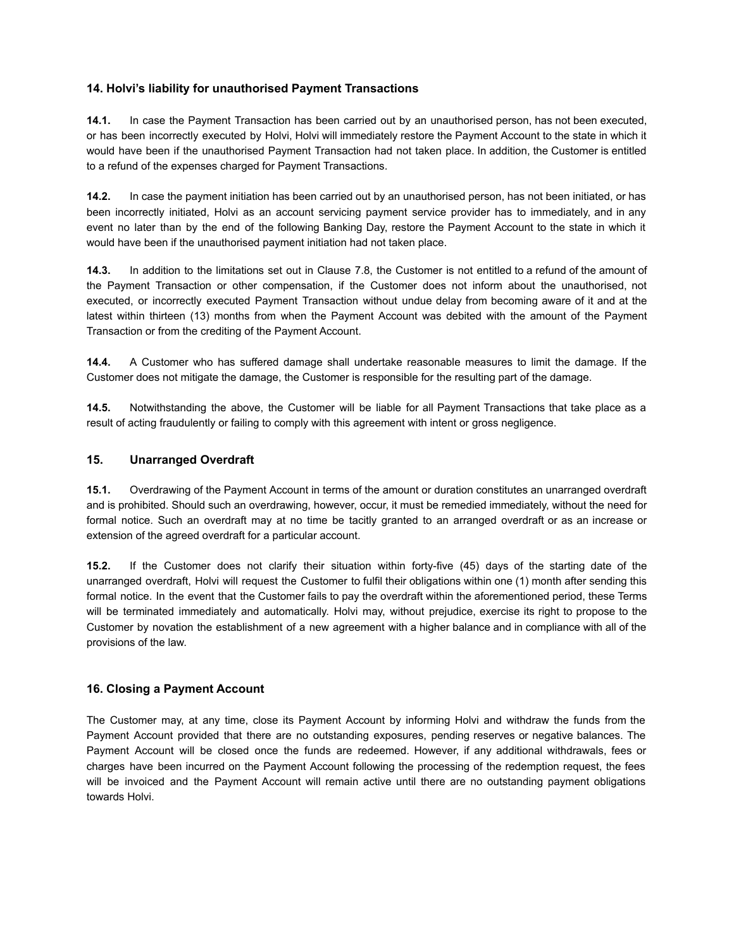## **14. Holvi's liability for unauthorised Payment Transactions**

**14.1.** In case the Payment Transaction has been carried out by an unauthorised person, has not been executed, or has been incorrectly executed by Holvi, Holvi will immediately restore the Payment Account to the state in which it would have been if the unauthorised Payment Transaction had not taken place. In addition, the Customer is entitled to a refund of the expenses charged for Payment Transactions.

**14.2.** In case the payment initiation has been carried out by an unauthorised person, has not been initiated, or has been incorrectly initiated, Holvi as an account servicing payment service provider has to immediately, and in any event no later than by the end of the following Banking Day, restore the Payment Account to the state in which it would have been if the unauthorised payment initiation had not taken place.

**14.3.** In addition to the limitations set out in Clause 7.8, the Customer is not entitled to a refund of the amount of the Payment Transaction or other compensation, if the Customer does not inform about the unauthorised, not executed, or incorrectly executed Payment Transaction without undue delay from becoming aware of it and at the latest within thirteen (13) months from when the Payment Account was debited with the amount of the Payment Transaction or from the crediting of the Payment Account.

**14.4.** A Customer who has suffered damage shall undertake reasonable measures to limit the damage. If the Customer does not mitigate the damage, the Customer is responsible for the resulting part of the damage.

**14.5.** Notwithstanding the above, the Customer will be liable for all Payment Transactions that take place as a result of acting fraudulently or failing to comply with this agreement with intent or gross negligence.

### **15. Unarranged Overdraft**

**15.1.** Overdrawing of the Payment Account in terms of the amount or duration constitutes an unarranged overdraft and is prohibited. Should such an overdrawing, however, occur, it must be remedied immediately, without the need for formal notice. Such an overdraft may at no time be tacitly granted to an arranged overdraft or as an increase or extension of the agreed overdraft for a particular account.

**15.2.** If the Customer does not clarify their situation within forty-five (45) days of the starting date of the unarranged overdraft, Holvi will request the Customer to fulfil their obligations within one (1) month after sending this formal notice. In the event that the Customer fails to pay the overdraft within the aforementioned period, these Terms will be terminated immediately and automatically. Holvi may, without prejudice, exercise its right to propose to the Customer by novation the establishment of a new agreement with a higher balance and in compliance with all of the provisions of the law.

### **16. Closing a Payment Account**

The Customer may, at any time, close its Payment Account by informing Holvi and withdraw the funds from the Payment Account provided that there are no outstanding exposures, pending reserves or negative balances. The Payment Account will be closed once the funds are redeemed. However, if any additional withdrawals, fees or charges have been incurred on the Payment Account following the processing of the redemption request, the fees will be invoiced and the Payment Account will remain active until there are no outstanding payment obligations towards Holvi.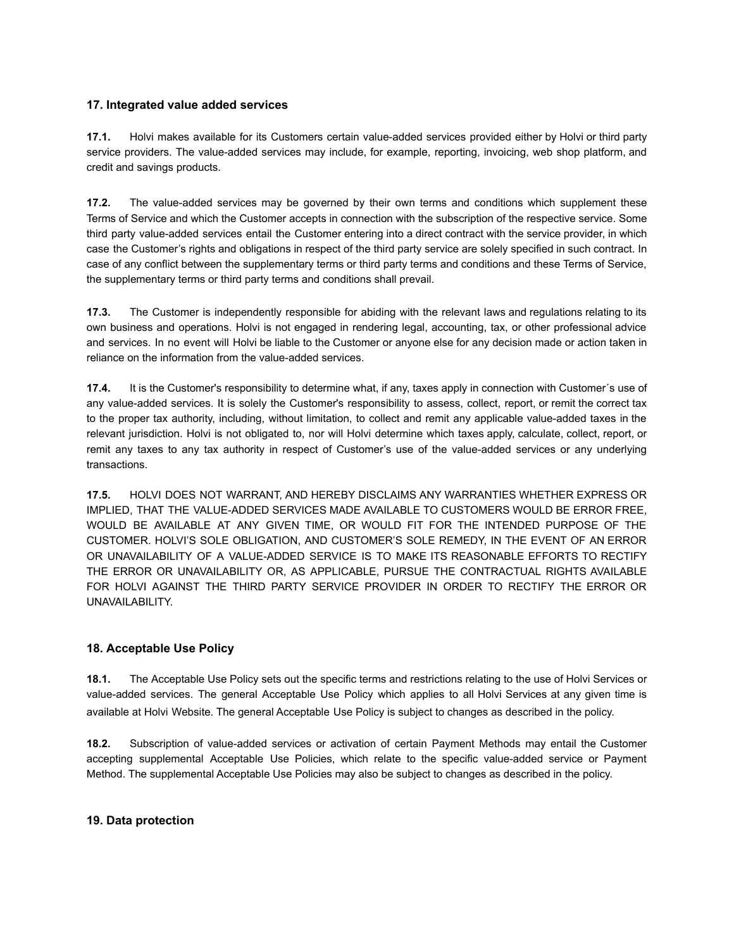## **17. Integrated value added services**

**17.1.** Holvi makes available for its Customers certain value-added services provided either by Holvi or third party service providers. The value-added services may include, for example, reporting, invoicing, web shop platform, and credit and savings products.

**17.2.** The value-added services may be governed by their own terms and conditions which supplement these Terms of Service and which the Customer accepts in connection with the subscription of the respective service. Some third party value-added services entail the Customer entering into a direct contract with the service provider, in which case the Customer's rights and obligations in respect of the third party service are solely specified in such contract. In case of any conflict between the supplementary terms or third party terms and conditions and these Terms of Service, the supplementary terms or third party terms and conditions shall prevail.

**17.3.** The Customer is independently responsible for abiding with the relevant laws and regulations relating to its own business and operations. Holvi is not engaged in rendering legal, accounting, tax, or other professional advice and services. In no event will Holvi be liable to the Customer or anyone else for any decision made or action taken in reliance on the information from the value-added services.

**17.4.** It is the Customer's responsibility to determine what, if any, taxes apply in connection with Customer´s use of any value-added services. It is solely the Customer's responsibility to assess, collect, report, or remit the correct tax to the proper tax authority, including, without limitation, to collect and remit any applicable value-added taxes in the relevant jurisdiction. Holvi is not obligated to, nor will Holvi determine which taxes apply, calculate, collect, report, or remit any taxes to any tax authority in respect of Customer's use of the value-added services or any underlying transactions.

**17.5.** HOLVI DOES NOT WARRANT, AND HEREBY DISCLAIMS ANY WARRANTIES WHETHER EXPRESS OR IMPLIED, THAT THE VALUE-ADDED SERVICES MADE AVAILABLE TO CUSTOMERS WOULD BE ERROR FREE, WOULD BE AVAILABLE AT ANY GIVEN TIME, OR WOULD FIT FOR THE INTENDED PURPOSE OF THE CUSTOMER. HOLVI'S SOLE OBLIGATION, AND CUSTOMER'S SOLE REMEDY, IN THE EVENT OF AN ERROR OR UNAVAILABILITY OF A VALUE-ADDED SERVICE IS TO MAKE ITS REASONABLE EFFORTS TO RECTIFY THE ERROR OR UNAVAILABILITY OR, AS APPLICABLE, PURSUE THE CONTRACTUAL RIGHTS AVAILABLE FOR HOLVI AGAINST THE THIRD PARTY SERVICE PROVIDER IN ORDER TO RECTIFY THE ERROR OR UNAVAILABILITY.

# **18. Acceptable Use Policy**

**18.1.** The Acceptable Use Policy sets out the specific terms and restrictions relating to the use of Holvi Services or value-added services. The general Acceptable Use Policy which applies to all Holvi Services at any given time is available at Holvi Website. The general Acceptable Use Policy is subject to changes as described in the policy.

**18.2.** Subscription of value-added services or activation of certain Payment Methods may entail the Customer accepting supplemental Acceptable Use Policies, which relate to the specific value-added service or Payment Method. The supplemental Acceptable Use Policies may also be subject to changes as described in the policy.

### **19. Data protection**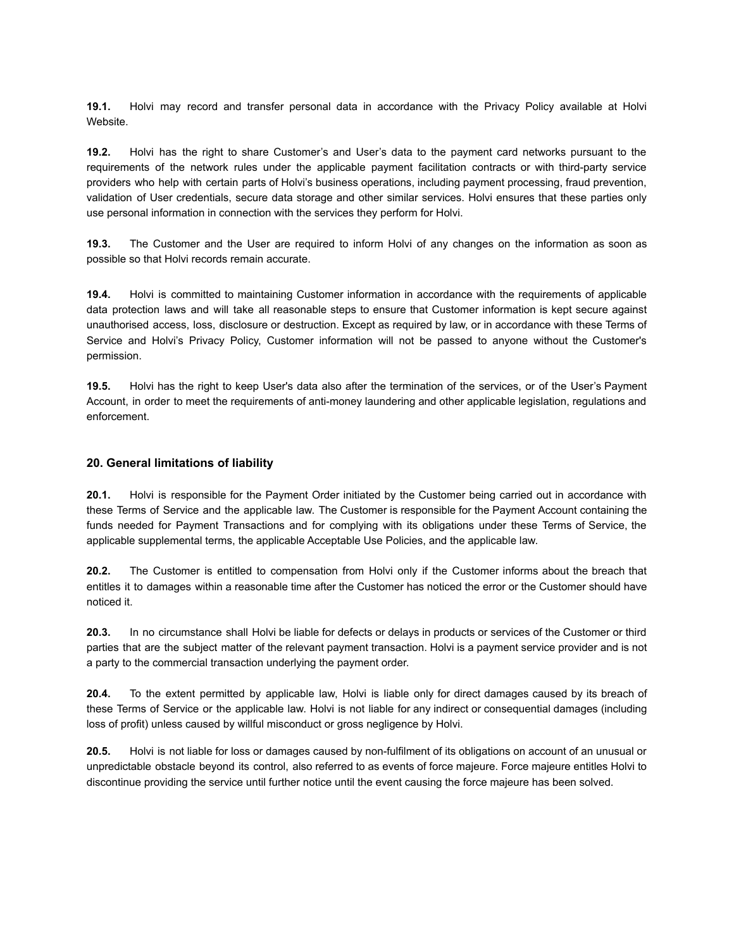**19.1.** Holvi may record and transfer personal data in accordance with the Privacy Policy available at Holvi Website.

**19.2.** Holvi has the right to share Customer's and User's data to the payment card networks pursuant to the requirements of the network rules under the applicable payment facilitation contracts or with third-party service providers who help with certain parts of Holvi's business operations, including payment processing, fraud prevention, validation of User credentials, secure data storage and other similar services. Holvi ensures that these parties only use personal information in connection with the services they perform for Holvi.

**19.3.** The Customer and the User are required to inform Holvi of any changes on the information as soon as possible so that Holvi records remain accurate.

**19.4.** Holvi is committed to maintaining Customer information in accordance with the requirements of applicable data protection laws and will take all reasonable steps to ensure that Customer information is kept secure against unauthorised access, loss, disclosure or destruction. Except as required by law, or in accordance with these Terms of Service and Holvi's Privacy Policy, Customer information will not be passed to anyone without the Customer's permission.

**19.5.** Holvi has the right to keep User's data also after the termination of the services, or of the User's Payment Account, in order to meet the requirements of anti-money laundering and other applicable legislation, regulations and enforcement.

#### **20. General limitations of liability**

**20.1.** Holvi is responsible for the Payment Order initiated by the Customer being carried out in accordance with these Terms of Service and the applicable law. The Customer is responsible for the Payment Account containing the funds needed for Payment Transactions and for complying with its obligations under these Terms of Service, the applicable supplemental terms, the applicable Acceptable Use Policies, and the applicable law.

**20.2.** The Customer is entitled to compensation from Holvi only if the Customer informs about the breach that entitles it to damages within a reasonable time after the Customer has noticed the error or the Customer should have noticed it.

**20.3.** In no circumstance shall Holvi be liable for defects or delays in products or services of the Customer or third parties that are the subject matter of the relevant payment transaction. Holvi is a payment service provider and is not a party to the commercial transaction underlying the payment order.

**20.4.** To the extent permitted by applicable law, Holvi is liable only for direct damages caused by its breach of these Terms of Service or the applicable law. Holvi is not liable for any indirect or consequential damages (including loss of profit) unless caused by willful misconduct or gross negligence by Holvi.

**20.5.** Holvi is not liable for loss or damages caused by non-fulfilment of its obligations on account of an unusual or unpredictable obstacle beyond its control, also referred to as events of force majeure. Force majeure entitles Holvi to discontinue providing the service until further notice until the event causing the force majeure has been solved.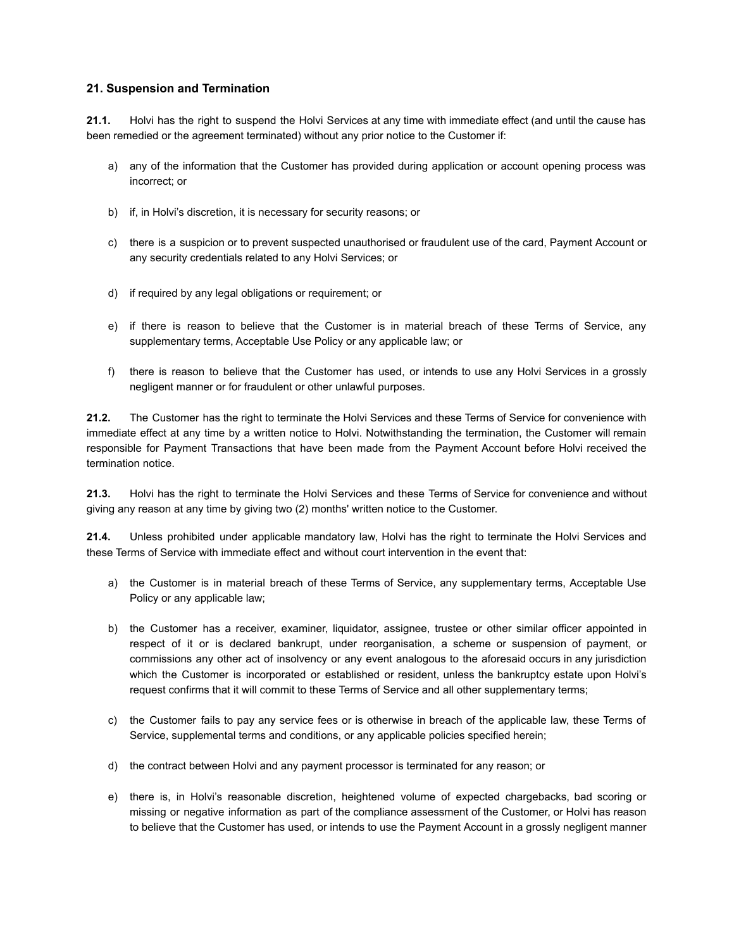### **21. Suspension and Termination**

**21.1.** Holvi has the right to suspend the Holvi Services at any time with immediate effect (and until the cause has been remedied or the agreement terminated) without any prior notice to the Customer if:

- a) any of the information that the Customer has provided during application or account opening process was incorrect; or
- b) if, in Holvi's discretion, it is necessary for security reasons; or
- c) there is a suspicion or to prevent suspected unauthorised or fraudulent use of the card, Payment Account or any security credentials related to any Holvi Services; or
- d) if required by any legal obligations or requirement; or
- e) if there is reason to believe that the Customer is in material breach of these Terms of Service, any supplementary terms, Acceptable Use Policy or any applicable law; or
- f) there is reason to believe that the Customer has used, or intends to use any Holvi Services in a grossly negligent manner or for fraudulent or other unlawful purposes.

**21.2.** The Customer has the right to terminate the Holvi Services and these Terms of Service for convenience with immediate effect at any time by a written notice to Holvi. Notwithstanding the termination, the Customer will remain responsible for Payment Transactions that have been made from the Payment Account before Holvi received the termination notice.

**21.3.** Holvi has the right to terminate the Holvi Services and these Terms of Service for convenience and without giving any reason at any time by giving two (2) months' written notice to the Customer.

**21.4.** Unless prohibited under applicable mandatory law, Holvi has the right to terminate the Holvi Services and these Terms of Service with immediate effect and without court intervention in the event that:

- a) the Customer is in material breach of these Terms of Service, any supplementary terms, Acceptable Use Policy or any applicable law;
- b) the Customer has a receiver, examiner, liquidator, assignee, trustee or other similar officer appointed in respect of it or is declared bankrupt, under reorganisation, a scheme or suspension of payment, or commissions any other act of insolvency or any event analogous to the aforesaid occurs in any jurisdiction which the Customer is incorporated or established or resident, unless the bankruptcy estate upon Holvi's request confirms that it will commit to these Terms of Service and all other supplementary terms;
- c) the Customer fails to pay any service fees or is otherwise in breach of the applicable law, these Terms of Service, supplemental terms and conditions, or any applicable policies specified herein;
- d) the contract between Holvi and any payment processor is terminated for any reason; or
- e) there is, in Holvi's reasonable discretion, heightened volume of expected chargebacks, bad scoring or missing or negative information as part of the compliance assessment of the Customer, or Holvi has reason to believe that the Customer has used, or intends to use the Payment Account in a grossly negligent manner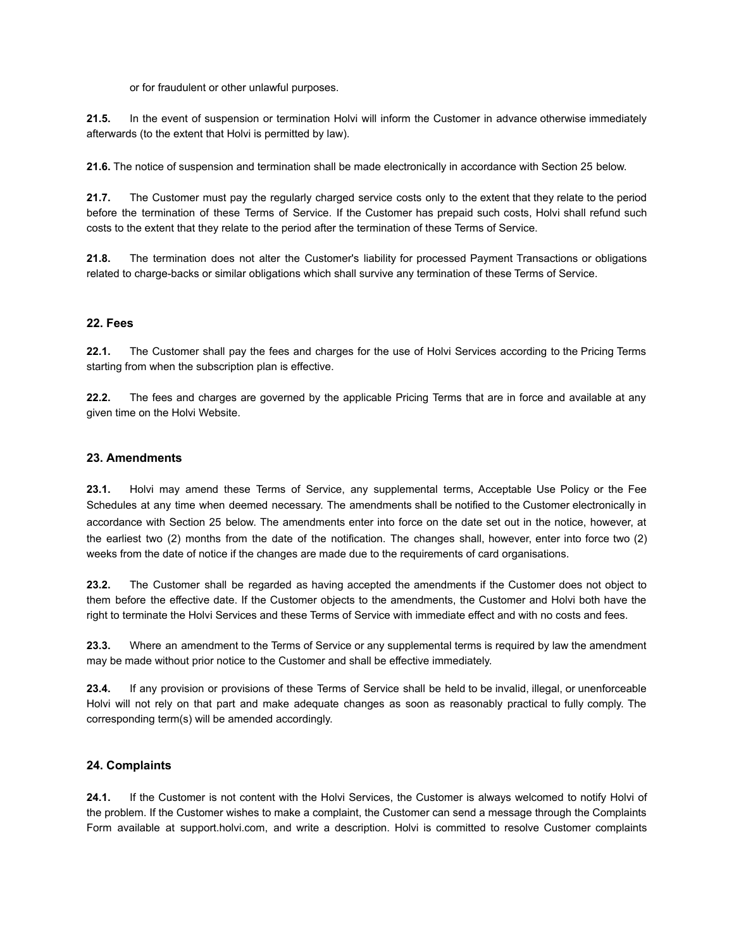or for fraudulent or other unlawful purposes.

**21.5.** In the event of suspension or termination Holvi will inform the Customer in advance otherwise immediately afterwards (to the extent that Holvi is permitted by law).

**21.6.** The notice of suspension and termination shall be made electronically in accordance with Section 25 below.

**21.7.** The Customer must pay the regularly charged service costs only to the extent that they relate to the period before the termination of these Terms of Service. If the Customer has prepaid such costs, Holvi shall refund such costs to the extent that they relate to the period after the termination of these Terms of Service.

**21.8.** The termination does not alter the Customer's liability for processed Payment Transactions or obligations related to charge-backs or similar obligations which shall survive any termination of these Terms of Service.

### **22. Fees**

**22.1.** The Customer shall pay the fees and charges for the use of Holvi Services according to the Pricing Terms starting from when the subscription plan is effective.

**22.2.** The fees and charges are governed by the applicable Pricing Terms that are in force and available at any given time on the Holvi Website.

#### **23. Amendments**

**23.1.** Holvi may amend these Terms of Service, any supplemental terms, Acceptable Use Policy or the Fee Schedules at any time when deemed necessary. The amendments shall be notified to the Customer electronically in accordance with Section 25 below. The amendments enter into force on the date set out in the notice, however, at the earliest two (2) months from the date of the notification. The changes shall, however, enter into force two (2) weeks from the date of notice if the changes are made due to the requirements of card organisations.

**23.2.** The Customer shall be regarded as having accepted the amendments if the Customer does not object to them before the effective date. If the Customer objects to the amendments, the Customer and Holvi both have the right to terminate the Holvi Services and these Terms of Service with immediate effect and with no costs and fees.

**23.3.** Where an amendment to the Terms of Service or any supplemental terms is required by law the amendment may be made without prior notice to the Customer and shall be effective immediately.

**23.4.** If any provision or provisions of these Terms of Service shall be held to be invalid, illegal, or unenforceable Holvi will not rely on that part and make adequate changes as soon as reasonably practical to fully comply. The corresponding term(s) will be amended accordingly.

### **24. Complaints**

**24.1.** If the Customer is not content with the Holvi Services, the Customer is always welcomed to notify Holvi of the problem. If the Customer wishes to make a complaint, the Customer can send a message through the Complaints Form available at support.holvi.com, and write a description. Holvi is committed to resolve Customer complaints